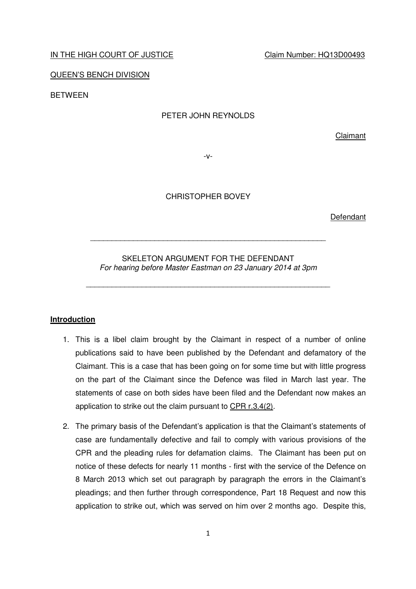### IN THE HIGH COURT OF JUSTICE CLAIM CLAIM Number: HQ13D00493

QUEEN'S BENCH DIVISION

BETWEEN

## PETER JOHN REYNOLDS

Claimant

-v-

CHRISTOPHER BOVEY

Defendant

SKELETON ARGUMENT FOR THE DEFENDANT For hearing before Master Eastman on 23 January 2014 at 3pm

\_\_\_\_\_\_\_\_\_\_\_\_\_\_\_\_\_\_\_\_\_\_\_\_\_\_\_\_\_\_\_\_\_\_\_\_\_\_\_\_\_\_\_\_\_\_\_\_\_\_\_\_\_\_\_\_\_

\_\_\_\_\_\_\_\_\_\_\_\_\_\_\_\_\_\_\_\_\_\_\_\_\_\_\_\_\_\_\_\_\_\_\_\_\_\_\_\_\_\_\_\_\_\_\_\_\_\_\_\_\_\_\_

# **Introduction**

- 1. This is a libel claim brought by the Claimant in respect of a number of online publications said to have been published by the Defendant and defamatory of the Claimant. This is a case that has been going on for some time but with little progress on the part of the Claimant since the Defence was filed in March last year. The statements of case on both sides have been filed and the Defendant now makes an application to strike out the claim pursuant to CPR r.3.4(2).
- 2. The primary basis of the Defendant's application is that the Claimant's statements of case are fundamentally defective and fail to comply with various provisions of the CPR and the pleading rules for defamation claims. The Claimant has been put on notice of these defects for nearly 11 months - first with the service of the Defence on 8 March 2013 which set out paragraph by paragraph the errors in the Claimant's pleadings; and then further through correspondence, Part 18 Request and now this application to strike out, which was served on him over 2 months ago. Despite this,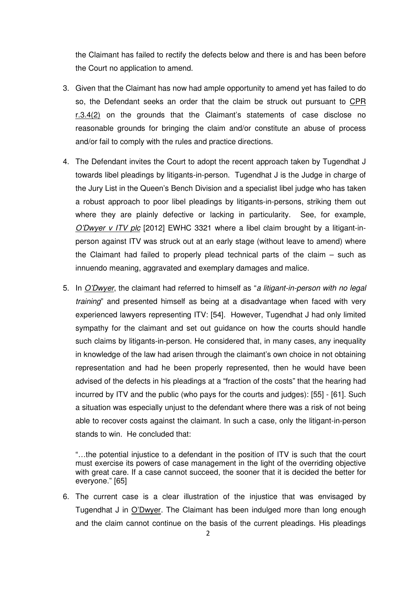the Claimant has failed to rectify the defects below and there is and has been before the Court no application to amend.

- 3. Given that the Claimant has now had ample opportunity to amend yet has failed to do so, the Defendant seeks an order that the claim be struck out pursuant to CPR r.3.4(2) on the grounds that the Claimant's statements of case disclose no reasonable grounds for bringing the claim and/or constitute an abuse of process and/or fail to comply with the rules and practice directions.
- 4. The Defendant invites the Court to adopt the recent approach taken by Tugendhat J towards libel pleadings by litigants-in-person. Tugendhat J is the Judge in charge of the Jury List in the Queen's Bench Division and a specialist libel judge who has taken a robust approach to poor libel pleadings by litigants-in-persons, striking them out where they are plainly defective or lacking in particularity. See, for example, O'Dwyer v ITV plc [2012] EWHC 3321 where a libel claim brought by a litigant-inperson against ITV was struck out at an early stage (without leave to amend) where the Claimant had failed to properly plead technical parts of the claim – such as innuendo meaning, aggravated and exemplary damages and malice.
- 5. In O'Dwyer, the claimant had referred to himself as "a litigant-in-person with no legal training" and presented himself as being at a disadvantage when faced with very experienced lawyers representing ITV: [54]. However, Tugendhat J had only limited sympathy for the claimant and set out guidance on how the courts should handle such claims by litigants-in-person. He considered that, in many cases, any inequality in knowledge of the law had arisen through the claimant's own choice in not obtaining representation and had he been properly represented, then he would have been advised of the defects in his pleadings at a "fraction of the costs" that the hearing had incurred by ITV and the public (who pays for the courts and judges): [55] - [61]. Such a situation was especially unjust to the defendant where there was a risk of not being able to recover costs against the claimant. In such a case, only the litigant-in-person stands to win. He concluded that:

"…the potential injustice to a defendant in the position of ITV is such that the court must exercise its powers of case management in the light of the overriding objective with great care. If a case cannot succeed, the sooner that it is decided the better for everyone." [65]

6. The current case is a clear illustration of the injustice that was envisaged by Tugendhat J in O'Dwyer. The Claimant has been indulged more than long enough and the claim cannot continue on the basis of the current pleadings. His pleadings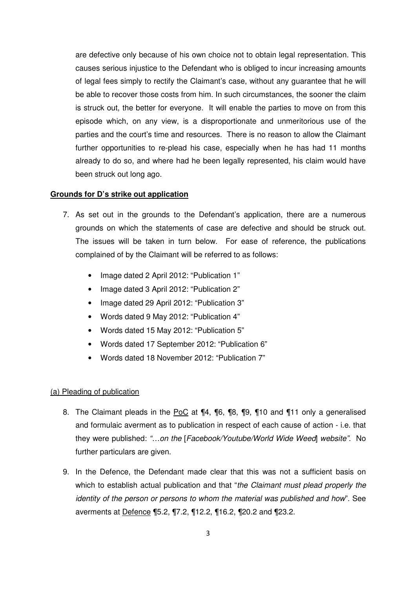are defective only because of his own choice not to obtain legal representation. This causes serious injustice to the Defendant who is obliged to incur increasing amounts of legal fees simply to rectify the Claimant's case, without any guarantee that he will be able to recover those costs from him. In such circumstances, the sooner the claim is struck out, the better for everyone. It will enable the parties to move on from this episode which, on any view, is a disproportionate and unmeritorious use of the parties and the court's time and resources. There is no reason to allow the Claimant further opportunities to re-plead his case, especially when he has had 11 months already to do so, and where had he been legally represented, his claim would have been struck out long ago.

# **Grounds for D's strike out application**

- 7. As set out in the grounds to the Defendant's application, there are a numerous grounds on which the statements of case are defective and should be struck out. The issues will be taken in turn below. For ease of reference, the publications complained of by the Claimant will be referred to as follows:
	- Image dated 2 April 2012: "Publication 1"
	- Image dated 3 April 2012: "Publication 2"
	- Image dated 29 April 2012: "Publication 3"
	- Words dated 9 May 2012: "Publication 4"
	- Words dated 15 May 2012: "Publication 5"
	- Words dated 17 September 2012: "Publication 6"
	- Words dated 18 November 2012: "Publication 7"

### (a) Pleading of publication

- 8. The Claimant pleads in the PoC at ¶4, ¶6, ¶8, ¶9, ¶10 and ¶11 only a generalised and formulaic averment as to publication in respect of each cause of action - i.e. that they were published: "…on the [Facebook/Youtube/World Wide Weed] website". No further particulars are given.
- 9. In the Defence, the Defendant made clear that this was not a sufficient basis on which to establish actual publication and that "the Claimant must plead properly the identity of the person or persons to whom the material was published and how". See averments at Defence ¶5.2, ¶7.2, ¶12.2, ¶16.2, ¶20.2 and ¶23.2.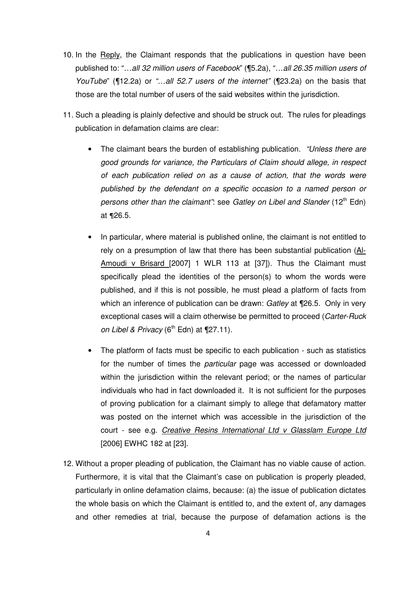- 10. In the Reply, the Claimant responds that the publications in question have been published to: "…all 32 million users of Facebook" (¶5.2a), "…all 26.35 million users of YouTube" (¶12.2a) or "...all 52.7 users of the internet" (¶23.2a) on the basis that those are the total number of users of the said websites within the jurisdiction.
- 11. Such a pleading is plainly defective and should be struck out. The rules for pleadings publication in defamation claims are clear:
	- The claimant bears the burden of establishing publication. "Unless there are good grounds for variance, the Particulars of Claim should allege, in respect of each publication relied on as a cause of action, that the words were published by the defendant on a specific occasion to a named person or persons other than the claimant": see Gatley on Libel and Slander (12<sup>th</sup> Edn) at ¶26.5.
	- In particular, where material is published online, the claimant is not entitled to rely on a presumption of law that there has been substantial publication (Al-Amoudi v Brisard [2007] 1 WLR 113 at [37]). Thus the Claimant must specifically plead the identities of the person(s) to whom the words were published, and if this is not possible, he must plead a platform of facts from which an inference of publication can be drawn: Gatley at ¶26.5. Only in very exceptional cases will a claim otherwise be permitted to proceed (Carter-Ruck on Libel & Privacy  $(6^{th}$  Edn) at  $\P$ 27.11).
	- The platform of facts must be specific to each publication such as statistics for the number of times the *particular* page was accessed or downloaded within the jurisdiction within the relevant period; or the names of particular individuals who had in fact downloaded it. It is not sufficient for the purposes of proving publication for a claimant simply to allege that defamatory matter was posted on the internet which was accessible in the jurisdiction of the court - see e.g. Creative Resins International Ltd v Glasslam Europe Ltd [2006] EWHC 182 at [23].
- 12. Without a proper pleading of publication, the Claimant has no viable cause of action. Furthermore, it is vital that the Claimant's case on publication is properly pleaded, particularly in online defamation claims, because: (a) the issue of publication dictates the whole basis on which the Claimant is entitled to, and the extent of, any damages and other remedies at trial, because the purpose of defamation actions is the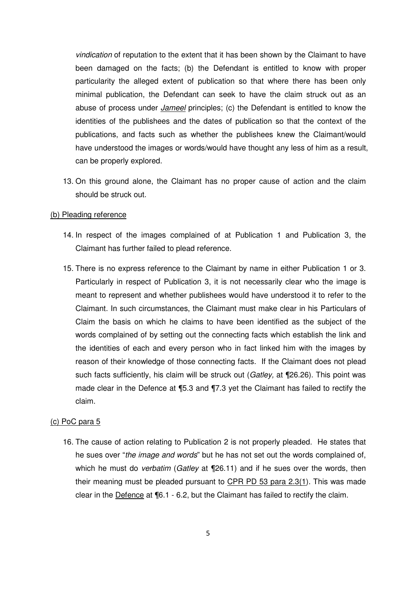vindication of reputation to the extent that it has been shown by the Claimant to have been damaged on the facts; (b) the Defendant is entitled to know with proper particularity the alleged extent of publication so that where there has been only minimal publication, the Defendant can seek to have the claim struck out as an abuse of process under *Jameel* principles; (c) the Defendant is entitled to know the identities of the publishees and the dates of publication so that the context of the publications, and facts such as whether the publishees knew the Claimant/would have understood the images or words/would have thought any less of him as a result, can be properly explored.

13. On this ground alone, the Claimant has no proper cause of action and the claim should be struck out.

### (b) Pleading reference

- 14. In respect of the images complained of at Publication 1 and Publication 3, the Claimant has further failed to plead reference.
- 15. There is no express reference to the Claimant by name in either Publication 1 or 3. Particularly in respect of Publication 3, it is not necessarily clear who the image is meant to represent and whether publishees would have understood it to refer to the Claimant. In such circumstances, the Claimant must make clear in his Particulars of Claim the basis on which he claims to have been identified as the subject of the words complained of by setting out the connecting facts which establish the link and the identities of each and every person who in fact linked him with the images by reason of their knowledge of those connecting facts. If the Claimant does not plead such facts sufficiently, his claim will be struck out (Gatley, at ¶26.26). This point was made clear in the Defence at ¶5.3 and ¶7.3 yet the Claimant has failed to rectify the claim.

#### (c) PoC para 5

16. The cause of action relating to Publication 2 is not properly pleaded. He states that he sues over "the image and words" but he has not set out the words complained of, which he must do *verbatim* (Gatley at  $\P$ 26.11) and if he sues over the words, then their meaning must be pleaded pursuant to  $CPR$  PD 53 para  $2.3(1)$ . This was made clear in the Defence at ¶6.1 - 6.2, but the Claimant has failed to rectify the claim.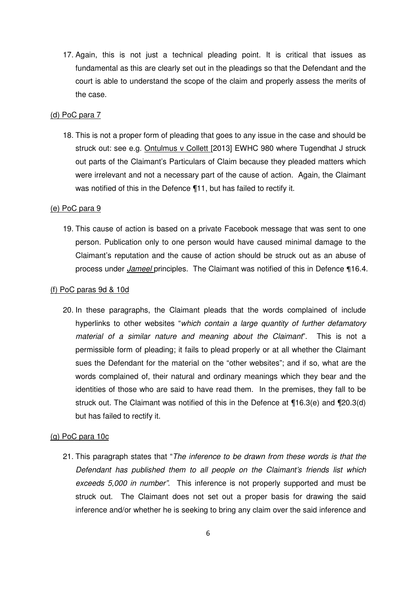17. Again, this is not just a technical pleading point. It is critical that issues as fundamental as this are clearly set out in the pleadings so that the Defendant and the court is able to understand the scope of the claim and properly assess the merits of the case.

# (d) PoC para 7

18. This is not a proper form of pleading that goes to any issue in the case and should be struck out: see e.g. Ontulmus v Collett [2013] EWHC 980 where Tugendhat J struck out parts of the Claimant's Particulars of Claim because they pleaded matters which were irrelevant and not a necessary part of the cause of action. Again, the Claimant was notified of this in the Defence ¶11, but has failed to rectify it.

#### (e) PoC para 9

19. This cause of action is based on a private Facebook message that was sent to one person. Publication only to one person would have caused minimal damage to the Claimant's reputation and the cause of action should be struck out as an abuse of process under *Jameel* principles. The Claimant was notified of this in Defence 116.4.

### (f) PoC paras 9d & 10d

20. In these paragraphs, the Claimant pleads that the words complained of include hyperlinks to other websites "which contain a large quantity of further defamatory material of a similar nature and meaning about the Claimant". This is not a permissible form of pleading; it fails to plead properly or at all whether the Claimant sues the Defendant for the material on the "other websites"; and if so, what are the words complained of, their natural and ordinary meanings which they bear and the identities of those who are said to have read them. In the premises, they fall to be struck out. The Claimant was notified of this in the Defence at ¶16.3(e) and ¶20.3(d) but has failed to rectify it.

#### (g) PoC para 10c

21. This paragraph states that "The inference to be drawn from these words is that the Defendant has published them to all people on the Claimant's friends list which exceeds 5,000 in number". This inference is not properly supported and must be struck out. The Claimant does not set out a proper basis for drawing the said inference and/or whether he is seeking to bring any claim over the said inference and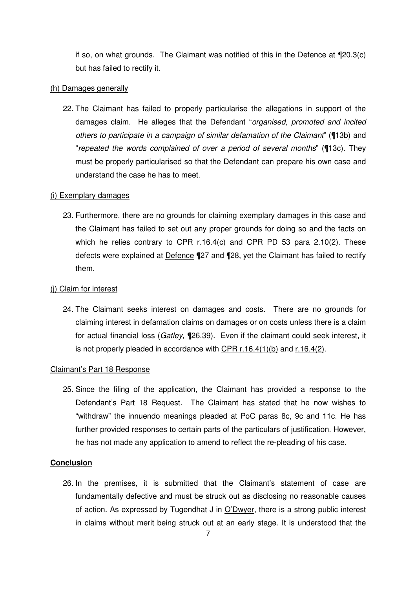if so, on what grounds. The Claimant was notified of this in the Defence at ¶20.3(c) but has failed to rectify it.

### (h) Damages generally

22. The Claimant has failed to properly particularise the allegations in support of the damages claim. He alleges that the Defendant "organised, promoted and incited others to participate in a campaign of similar defamation of the Claimant" (¶13b) and "repeated the words complained of over a period of several months" (¶13c). They must be properly particularised so that the Defendant can prepare his own case and understand the case he has to meet.

### (i) Exemplary damages

23. Furthermore, there are no grounds for claiming exemplary damages in this case and the Claimant has failed to set out any proper grounds for doing so and the facts on which he relies contrary to  $CPR$  r.16.4(c) and  $CPR$  PD 53 para 2.10(2). These defects were explained at Defence ¶27 and ¶28, yet the Claimant has failed to rectify them.

## (j) Claim for interest

24. The Claimant seeks interest on damages and costs. There are no grounds for claiming interest in defamation claims on damages or on costs unless there is a claim for actual financial loss (Gatley, ¶26.39). Even if the claimant could seek interest, it is not properly pleaded in accordance with CPR r.16.4(1)(b) and r.16.4(2).

#### Claimant's Part 18 Response

25. Since the filing of the application, the Claimant has provided a response to the Defendant's Part 18 Request. The Claimant has stated that he now wishes to "withdraw" the innuendo meanings pleaded at PoC paras 8c, 9c and 11c. He has further provided responses to certain parts of the particulars of justification. However, he has not made any application to amend to reflect the re-pleading of his case.

# **Conclusion**

26. In the premises, it is submitted that the Claimant's statement of case are fundamentally defective and must be struck out as disclosing no reasonable causes of action. As expressed by Tugendhat J in O'Dwyer, there is a strong public interest in claims without merit being struck out at an early stage. It is understood that the